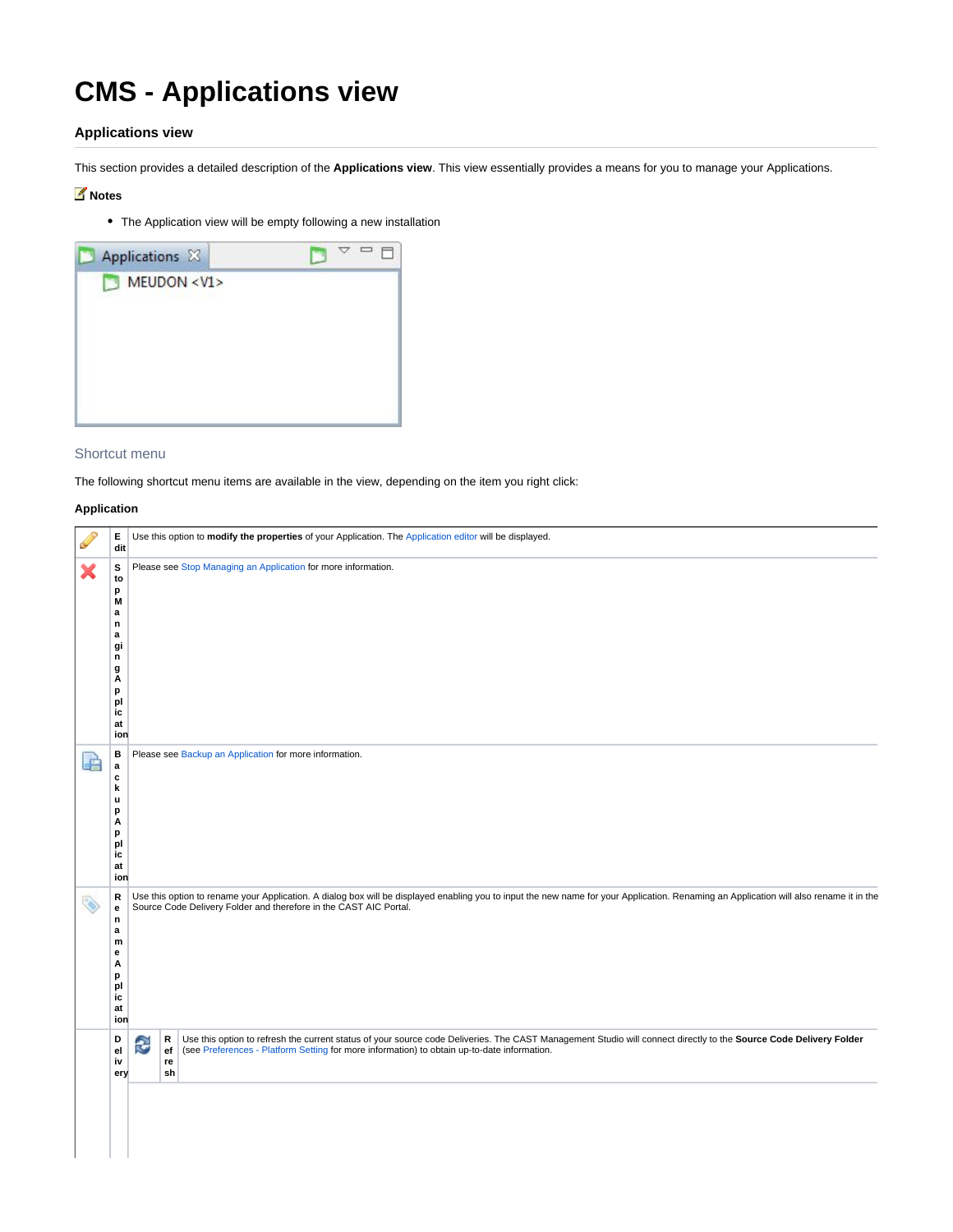# **CMS - Applications view**

## **Applications view**

This section provides a detailed description of the **Applications view**. This view essentially provides a means for you to manage your Applications.

### **Notes**

The Application view will be empty following a new installation

| Applications X   |  |
|------------------|--|
| MEUDON <v1></v1> |  |
|                  |  |
|                  |  |
|                  |  |
|                  |  |
|                  |  |

#### Shortcut menu

The following shortcut menu items are available in the view, depending on the item you right click:

### **Application**

|   | E.<br>dit                                                                           | Use this option to modify the properties of your Application. The Application editor will be displayed.                                                                                                                                                                                               |
|---|-------------------------------------------------------------------------------------|-------------------------------------------------------------------------------------------------------------------------------------------------------------------------------------------------------------------------------------------------------------------------------------------------------|
|   | s<br>to<br>p<br>M<br>a<br>n<br>a<br>gi<br>n<br>g<br>A<br>p<br>pl<br>ic<br>at<br>ion | Please see Stop Managing an Application for more information.                                                                                                                                                                                                                                         |
| 語 | в<br>$\mathbf a$<br>c<br>k<br>u<br>p<br>А<br>p<br>pl<br>ic<br>at<br>ion             | Please see Backup an Application for more information.                                                                                                                                                                                                                                                |
| ∾ | R<br>е<br>n<br>a<br>m<br>е<br>А<br>p<br>pl<br>ic<br>at<br>ion                       | Use this option to rename your Application. A dialog box will be displayed enabling you to input the new name for your Application. Renaming an Application will also rename it in the<br>Source Code Delivery Folder and therefore in the CAST AIC Portal.                                           |
|   | D<br>el<br>iv<br>ery                                                                | Use this option to refresh the current status of your source code Deliveries. The CAST Management Studio will connect directly to the Source Code Delivery Folder<br>R<br>€<br>(see Preferences - Platform Setting for more information) to obtain up-to-date information.<br>$_{\rm ef}$<br>re<br>sh |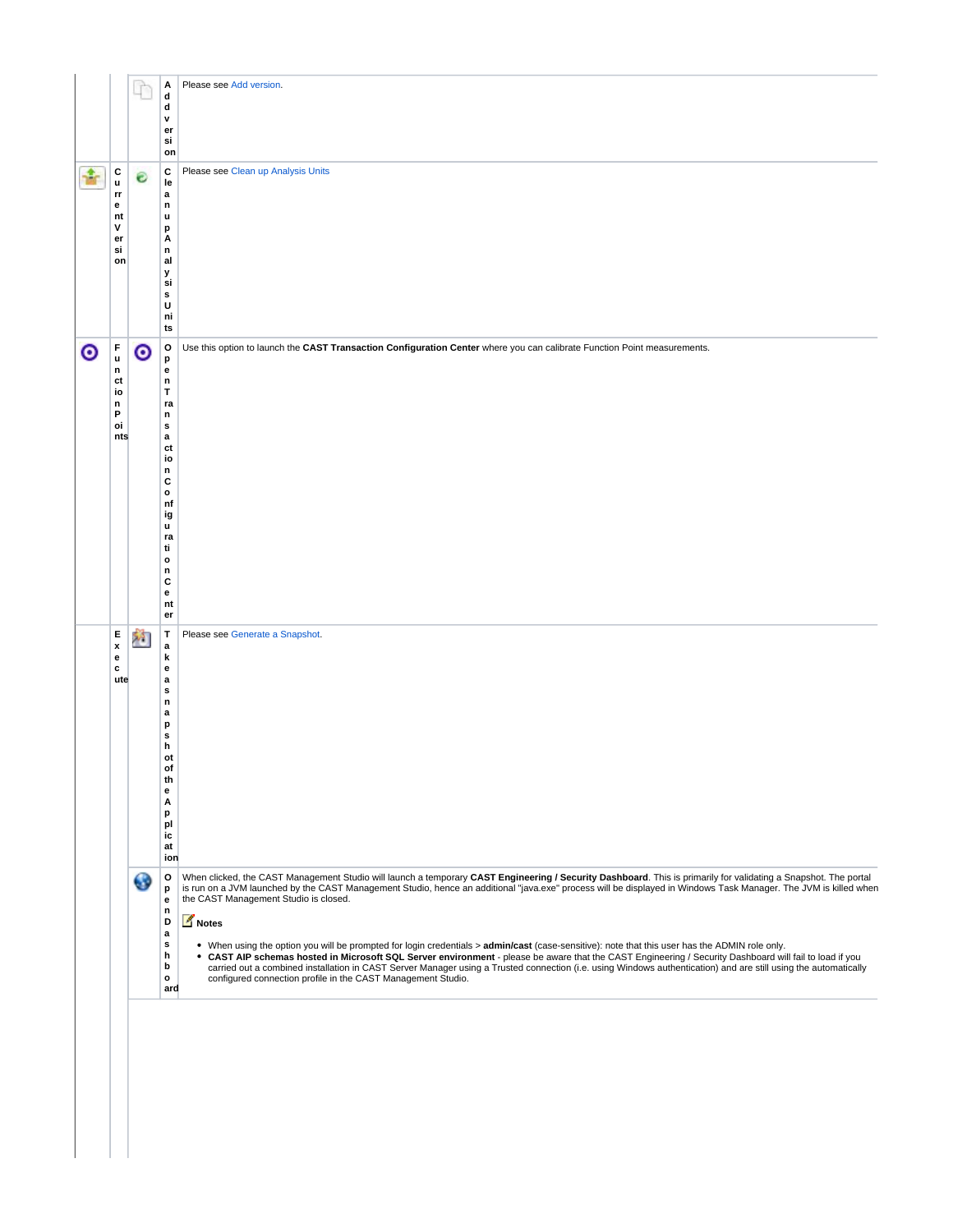|           |                                        | r            | Α<br>d                      | Please see Add version.                                                                                                                                                                                                                                                                                              |
|-----------|----------------------------------------|--------------|-----------------------------|----------------------------------------------------------------------------------------------------------------------------------------------------------------------------------------------------------------------------------------------------------------------------------------------------------------------|
|           |                                        |              | d<br>v                      |                                                                                                                                                                                                                                                                                                                      |
|           |                                        |              | er<br>si                    |                                                                                                                                                                                                                                                                                                                      |
|           |                                        |              | on                          |                                                                                                                                                                                                                                                                                                                      |
|           | с                                      | €            | С                           | Please see Clean up Analysis Units                                                                                                                                                                                                                                                                                   |
|           | u<br>rr                                |              | le<br>$\mathbf a$           |                                                                                                                                                                                                                                                                                                                      |
|           | е<br>nt                                |              | $\mathsf n$<br>u            |                                                                                                                                                                                                                                                                                                                      |
|           | v<br>er                                |              | p<br>Α                      |                                                                                                                                                                                                                                                                                                                      |
|           | si                                     |              | $\mathsf n$                 |                                                                                                                                                                                                                                                                                                                      |
|           | on                                     |              | al<br>У                     |                                                                                                                                                                                                                                                                                                                      |
|           |                                        |              | si<br>s                     |                                                                                                                                                                                                                                                                                                                      |
|           |                                        |              | U<br>ni                     |                                                                                                                                                                                                                                                                                                                      |
|           |                                        |              | ts                          |                                                                                                                                                                                                                                                                                                                      |
| $\bullet$ | F                                      | $\bm{\circ}$ | $\mathbf{o}$                | Use this option to launch the CAST Transaction Configuration Center where you can calibrate Function Point measurements.                                                                                                                                                                                             |
|           | $\mathbf u$<br>n                       |              | p<br>$\mathbf{e}$           |                                                                                                                                                                                                                                                                                                                      |
|           | ct<br>io                               |              | $\mathsf n$<br>T            |                                                                                                                                                                                                                                                                                                                      |
|           | n<br>P                                 |              | ra<br>$\mathsf n$           |                                                                                                                                                                                                                                                                                                                      |
|           | oi                                     |              | $\mathbf{s}$                |                                                                                                                                                                                                                                                                                                                      |
|           | nts                                    |              | $\mathbf a$<br>ct           |                                                                                                                                                                                                                                                                                                                      |
|           |                                        |              | io<br>$\mathsf n$           |                                                                                                                                                                                                                                                                                                                      |
|           |                                        |              | c<br>$\mathbf{o}$           |                                                                                                                                                                                                                                                                                                                      |
|           |                                        |              | nf                          |                                                                                                                                                                                                                                                                                                                      |
|           |                                        |              | ig<br>u                     |                                                                                                                                                                                                                                                                                                                      |
|           |                                        |              | ra<br>ti                    |                                                                                                                                                                                                                                                                                                                      |
|           |                                        |              | $\mathbf{o}$<br>$\mathsf n$ |                                                                                                                                                                                                                                                                                                                      |
|           |                                        |              | c                           |                                                                                                                                                                                                                                                                                                                      |
|           |                                        |              | $\mathbf{e}$<br>nt          |                                                                                                                                                                                                                                                                                                                      |
|           |                                        |              | er                          |                                                                                                                                                                                                                                                                                                                      |
|           | Е<br>$\pmb{\mathsf{x}}$                | 陷            | T<br>$\mathbf a$            | Please see Generate a Snapshot.                                                                                                                                                                                                                                                                                      |
|           | $\mathbf{e}% _{t}\left( t\right)$<br>c |              | k<br>$\mathbf{e}$           |                                                                                                                                                                                                                                                                                                                      |
|           | ute                                    |              | a<br>s                      |                                                                                                                                                                                                                                                                                                                      |
|           |                                        |              | $\mathsf n$                 |                                                                                                                                                                                                                                                                                                                      |
|           |                                        |              | $\mathbf a$<br>p            |                                                                                                                                                                                                                                                                                                                      |
|           |                                        |              | s<br>h                      |                                                                                                                                                                                                                                                                                                                      |
|           |                                        |              |                             |                                                                                                                                                                                                                                                                                                                      |
|           |                                        |              | ot                          |                                                                                                                                                                                                                                                                                                                      |
|           |                                        |              | of<br>th                    |                                                                                                                                                                                                                                                                                                                      |
|           |                                        |              | е<br>Α                      |                                                                                                                                                                                                                                                                                                                      |
|           |                                        |              | p<br>pl                     |                                                                                                                                                                                                                                                                                                                      |
|           |                                        |              | ic<br>at                    |                                                                                                                                                                                                                                                                                                                      |
|           |                                        |              | ion                         |                                                                                                                                                                                                                                                                                                                      |
|           |                                        | ⊕            | o                           | When clicked, the CAST Management Studio will launch a temporary CAST Engineering / Security Dashboard. This is primarily for validating a Snapshot. The portal                                                                                                                                                      |
|           |                                        |              | p<br>e                      | is run on a JVM launched by the CAST Management Studio, hence an additional "java.exe" process will be displayed in Windows Task Manager. The JVM is killed when<br>the CAST Management Studio is closed.                                                                                                            |
|           |                                        |              | $\mathsf n$<br>D            | Notes                                                                                                                                                                                                                                                                                                                |
|           |                                        |              | a<br>$\mathbf{s}$           |                                                                                                                                                                                                                                                                                                                      |
|           |                                        |              | h                           | . When using the option you will be prompted for login credentials > admin/cast (case-sensitive): note that this user has the ADMIN role only.<br>CAST AIP schemas hosted in Microsoft SQL Server environment - please be aware that the CAST Engineering / Security Dashboard will fail to load if you<br>$\bullet$ |
|           |                                        |              | b<br>$\mathbf{o}$           | carried out a combined installation in CAST Server Manager using a Trusted connection (i.e. using Windows authentication) and are still using the automatically<br>configured connection profile in the CAST Management Studio.                                                                                      |
|           |                                        |              | ard                         |                                                                                                                                                                                                                                                                                                                      |
|           |                                        |              |                             |                                                                                                                                                                                                                                                                                                                      |
|           |                                        |              |                             |                                                                                                                                                                                                                                                                                                                      |
|           |                                        |              |                             |                                                                                                                                                                                                                                                                                                                      |
|           |                                        |              |                             |                                                                                                                                                                                                                                                                                                                      |
|           |                                        |              |                             |                                                                                                                                                                                                                                                                                                                      |
|           |                                        |              |                             |                                                                                                                                                                                                                                                                                                                      |
|           |                                        |              |                             |                                                                                                                                                                                                                                                                                                                      |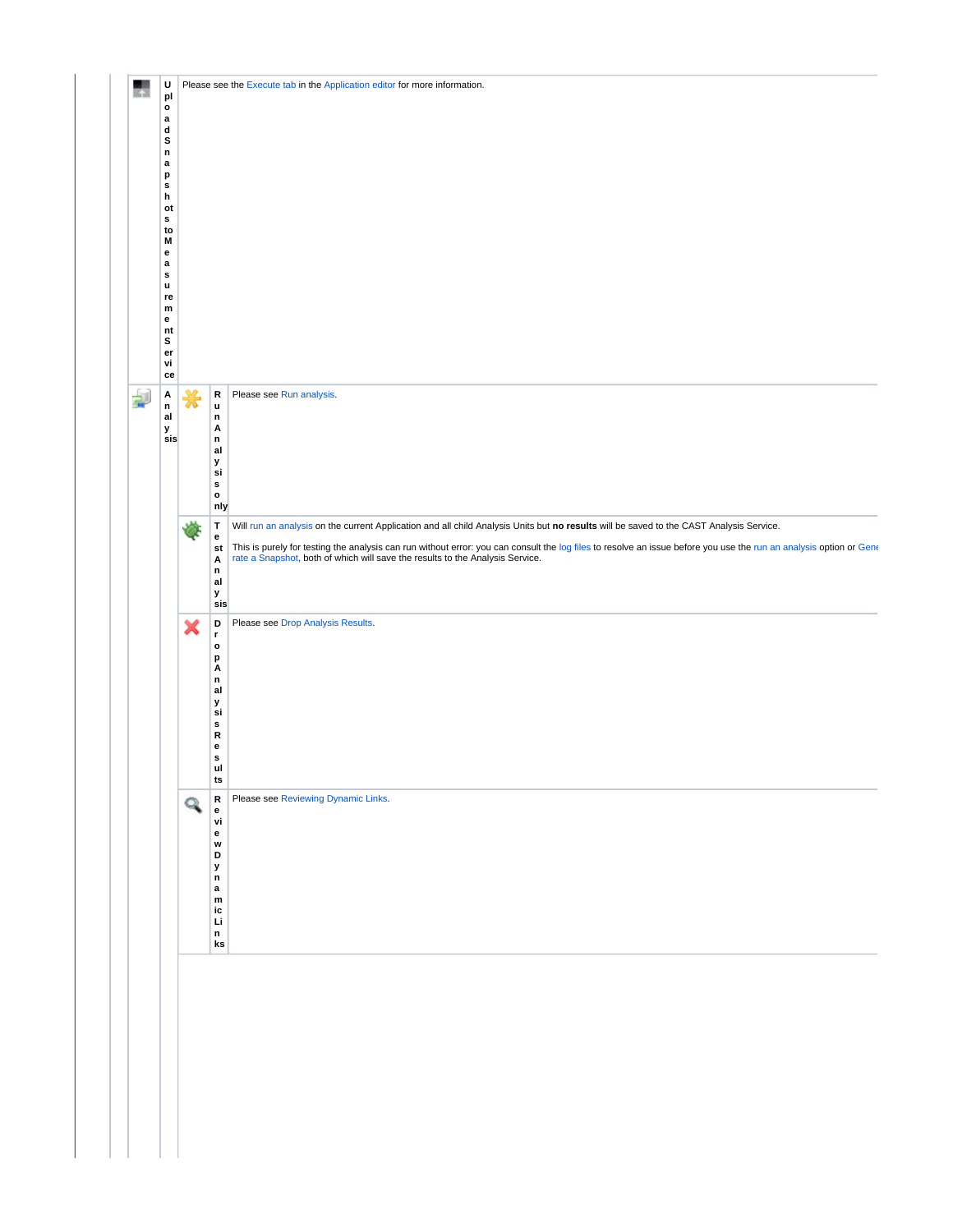